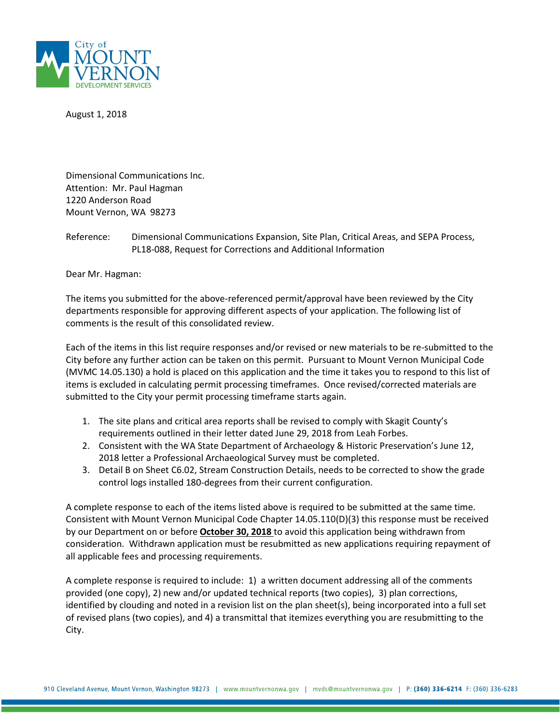

August 1, 2018

Dimensional Communications Inc. Attention: Mr. Paul Hagman 1220 Anderson Road Mount Vernon, WA 98273

Reference: Dimensional Communications Expansion, Site Plan, Critical Areas, and SEPA Process, PL18-088, Request for Corrections and Additional Information

Dear Mr. Hagman:

The items you submitted for the above-referenced permit/approval have been reviewed by the City departments responsible for approving different aspects of your application. The following list of comments is the result of this consolidated review.

Each of the items in this list require responses and/or revised or new materials to be re-submitted to the City before any further action can be taken on this permit. Pursuant to Mount Vernon Municipal Code (MVMC 14.05.130) a hold is placed on this application and the time it takes you to respond to this list of items is excluded in calculating permit processing timeframes. Once revised/corrected materials are submitted to the City your permit processing timeframe starts again.

- 1. The site plans and critical area reports shall be revised to comply with Skagit County's requirements outlined in their letter dated June 29, 2018 from Leah Forbes.
- 2. Consistent with the WA State Department of Archaeology & Historic Preservation's June 12, 2018 letter a Professional Archaeological Survey must be completed.
- 3. Detail B on Sheet C6.02, Stream Construction Details, needs to be corrected to show the grade control logs installed 180-degrees from their current configuration.

A complete response to each of the items listed above is required to be submitted at the same time. Consistent with Mount Vernon Municipal Code Chapter 14.05.110(D)(3) this response must be received by our Department on or before **October 30, 2018** to avoid this application being withdrawn from consideration. Withdrawn application must be resubmitted as new applications requiring repayment of all applicable fees and processing requirements.

A complete response is required to include: 1) a written document addressing all of the comments provided (one copy), 2) new and/or updated technical reports (two copies), 3) plan corrections, identified by clouding and noted in a revision list on the plan sheet(s), being incorporated into a full set of revised plans (two copies), and 4) a transmittal that itemizes everything you are resubmitting to the City.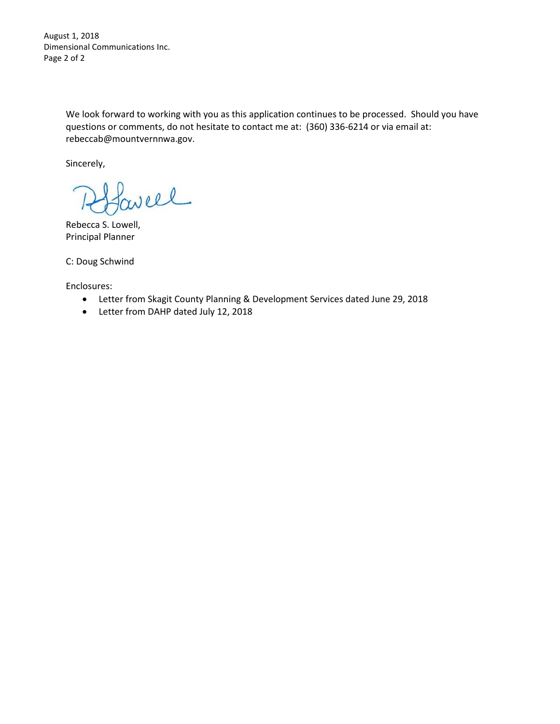August 1, 2018 Dimensional Communications Inc. Page 2 of 2

> We look forward to working with you as this application continues to be processed. Should you have questions or comments, do not hesitate to contact me at: (360) 336-6214 or via email at: rebeccab@mountvernnwa.gov.

Sincerely,

well

Rebecca S. Lowell, Principal Planner

C: Doug Schwind

Enclosures:

- Letter from Skagit County Planning & Development Services dated June 29, 2018
- Letter from DAHP dated July 12, 2018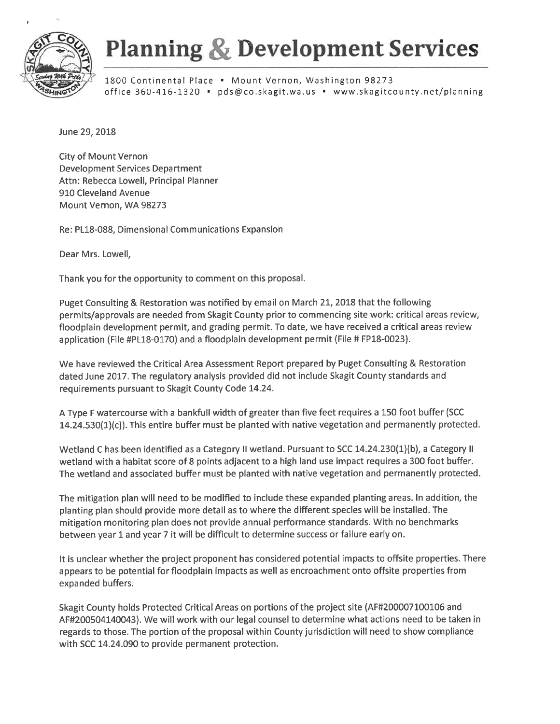

## **Planning & Development Services**

1800 Continental Place . Mount Vernon, Washington 98273 office 360-416-1320 · pds@co.skagit.wa.us · www.skagitcounty.net/planning

June 29, 2018

**City of Mount Vernon Development Services Department** Attn: Rebecca Lowell, Principal Planner 910 Cleveland Avenue Mount Vernon, WA 98273

Re: PL18-088, Dimensional Communications Expansion

Dear Mrs. Lowell,

Thank you for the opportunity to comment on this proposal.

Puget Consulting & Restoration was notified by email on March 21, 2018 that the following permits/approvals are needed from Skagit County prior to commencing site work: critical areas review, floodplain development permit, and grading permit. To date, we have received a critical areas review application (File #PL18-0170) and a floodplain development permit (File # FP18-0023).

We have reviewed the Critical Area Assessment Report prepared by Puget Consulting & Restoration dated June 2017. The regulatory analysis provided did not include Skagit County standards and requirements pursuant to Skagit County Code 14.24.

A Type F watercourse with a bankfull width of greater than five feet requires a 150 foot buffer (SCC 14.24.530(1)(c)). This entire buffer must be planted with native vegetation and permanently protected.

Wetland C has been identified as a Category II wetland. Pursuant to SCC 14.24.230(1)(b), a Category II wetland with a habitat score of 8 points adjacent to a high land use impact requires a 300 foot buffer. The wetland and associated buffer must be planted with native vegetation and permanently protected.

The mitigation plan will need to be modified to include these expanded planting areas. In addition, the planting plan should provide more detail as to where the different species will be installed. The mitigation monitoring plan does not provide annual performance standards. With no benchmarks between year 1 and year 7 it will be difficult to determine success or failure early on.

It is unclear whether the project proponent has considered potential impacts to offsite properties. There appears to be potential for floodplain impacts as well as encroachment onto offsite properties from expanded buffers.

Skagit County holds Protected Critical Areas on portions of the project site (AF#200007100106 and AF#200504140043). We will work with our legal counsel to determine what actions need to be taken in regards to those. The portion of the proposal within County jurisdiction will need to show compliance with SCC 14.24.090 to provide permanent protection.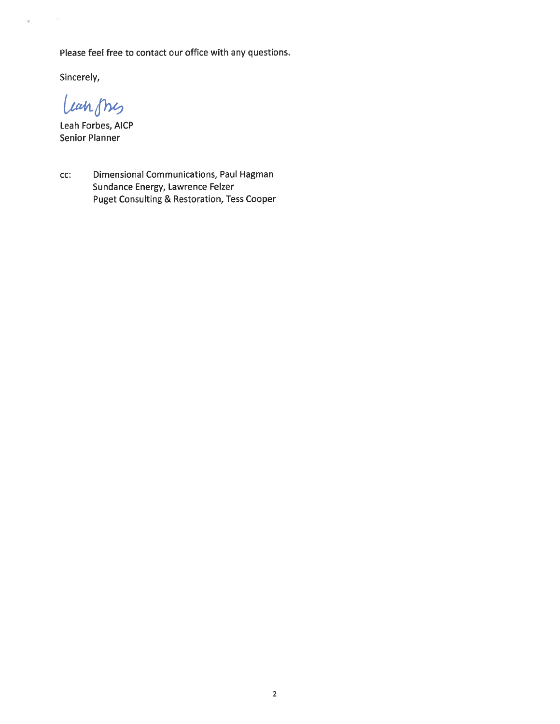Please feel free to contact our office with any questions.

Sincerely,

ä

Langnes

Leah Forbes, AICP **Senior Planner** 

Dimensional Communications, Paul Hagman CC: Sundance Energy, Lawrence Felzer **Puget Consulting & Restoration, Tess Cooper**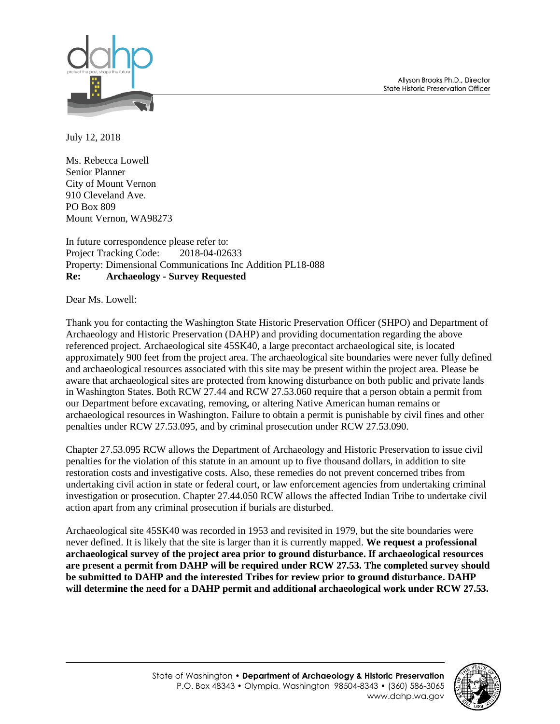Allyson Brooks Ph.D., Director State Historic Preservation Officer



July 12, 2018

Ms. Rebecca Lowell Senior Planner City of Mount Vernon 910 Cleveland Ave. PO Box 809 Mount Vernon, WA98273

In future correspondence please refer to: Project Tracking Code: 2018-04-02633 Property: Dimensional Communications Inc Addition PL18-088 **Re: Archaeology - Survey Requested**

Dear Ms. Lowell:

Thank you for contacting the Washington State Historic Preservation Officer (SHPO) and Department of Archaeology and Historic Preservation (DAHP) and providing documentation regarding the above referenced project. Archaeological site 45SK40, a large precontact archaeological site, is located approximately 900 feet from the project area. The archaeological site boundaries were never fully defined and archaeological resources associated with this site may be present within the project area. Please be aware that archaeological sites are protected from knowing disturbance on both public and private lands in Washington States. Both RCW 27.44 and RCW 27.53.060 require that a person obtain a permit from our Department before excavating, removing, or altering Native American human remains or archaeological resources in Washington. Failure to obtain a permit is punishable by civil fines and other penalties under RCW 27.53.095, and by criminal prosecution under RCW 27.53.090.

Chapter 27.53.095 RCW allows the Department of Archaeology and Historic Preservation to issue civil penalties for the violation of this statute in an amount up to five thousand dollars, in addition to site restoration costs and investigative costs. Also, these remedies do not prevent concerned tribes from undertaking civil action in state or federal court, or law enforcement agencies from undertaking criminal investigation or prosecution. Chapter 27.44.050 RCW allows the affected Indian Tribe to undertake civil action apart from any criminal prosecution if burials are disturbed.

Archaeological site 45SK40 was recorded in 1953 and revisited in 1979, but the site boundaries were never defined. It is likely that the site is larger than it is currently mapped. **We request a professional archaeological survey of the project area prior to ground disturbance. If archaeological resources are present a permit from DAHP will be required under RCW 27.53. The completed survey should be submitted to DAHP and the interested Tribes for review prior to ground disturbance. DAHP will determine the need for a DAHP permit and additional archaeological work under RCW 27.53.**